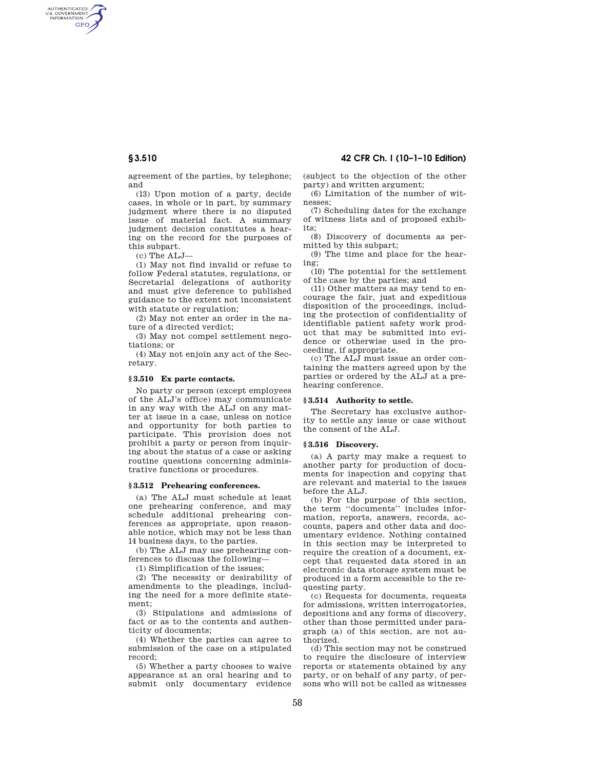AUTHENTICATED<br>U.S. GOVERNMENT<br>INFORMATION GPO

**§ 3.510 42 CFR Ch. I (10–1–10 Edition)** 

agreement of the parties, by telephone; and

(13) Upon motion of a party, decide cases, in whole or in part, by summary judgment where there is no disputed issue of material fact. A summary judgment decision constitutes a hearing on the record for the purposes of this subpart.

(c) The ALJ—

(1) May not find invalid or refuse to follow Federal statutes, regulations, or Secretarial delegations of authority and must give deference to published guidance to the extent not inconsistent with statute or regulation;

(2) May not enter an order in the nature of a directed verdict;

(3) May not compel settlement negotiations; or

(4) May not enjoin any act of the Secretary.

## **§ 3.510 Ex parte contacts.**

No party or person (except employees of the ALJ's office) may communicate in any way with the ALJ on any matter at issue in a case, unless on notice and opportunity for both parties to participate. This provision does not prohibit a party or person from inquiring about the status of a case or asking routine questions concerning administrative functions or procedures.

# **§ 3.512 Prehearing conferences.**

(a) The ALJ must schedule at least one prehearing conference, and may schedule additional prehearing conferences as appropriate, upon reasonable notice, which may not be less than 14 business days, to the parties.

(b) The ALJ may use prehearing conferences to discuss the following—

(1) Simplification of the issues;

(2) The necessity or desirability of amendments to the pleadings, including the need for a more definite statement;

(3) Stipulations and admissions of fact or as to the contents and authenticity of documents;

(4) Whether the parties can agree to submission of the case on a stipulated record;

(5) Whether a party chooses to waive appearance at an oral hearing and to submit only documentary evidence (subject to the objection of the other party) and written argument;

(6) Limitation of the number of witnesses;

(7) Scheduling dates for the exchange of witness lists and of proposed exhibits;

(8) Discovery of documents as permitted by this subpart;

(9) The time and place for the hearing;

(10) The potential for the settlement of the case by the parties; and

(11) Other matters as may tend to encourage the fair, just and expeditious disposition of the proceedings, including the protection of confidentiality of identifiable patient safety work product that may be submitted into evidence or otherwise used in the proceeding, if appropriate.

(c) The ALJ must issue an order containing the matters agreed upon by the parties or ordered by the ALJ at a prehearing conference.

#### **§ 3.514 Authority to settle.**

The Secretary has exclusive authority to settle any issue or case without the consent of the ALJ.

## **§ 3.516 Discovery.**

(a) A party may make a request to another party for production of documents for inspection and copying that are relevant and material to the issues before the ALJ.

(b) For the purpose of this section, the term ''documents'' includes information, reports, answers, records, accounts, papers and other data and documentary evidence. Nothing contained in this section may be interpreted to require the creation of a document, except that requested data stored in an electronic data storage system must be produced in a form accessible to the requesting party.

(c) Requests for documents, requests for admissions, written interrogatories, depositions and any forms of discovery, other than those permitted under paragraph (a) of this section, are not authorized.

(d) This section may not be construed to require the disclosure of interview reports or statements obtained by any party, or on behalf of any party, of persons who will not be called as witnesses